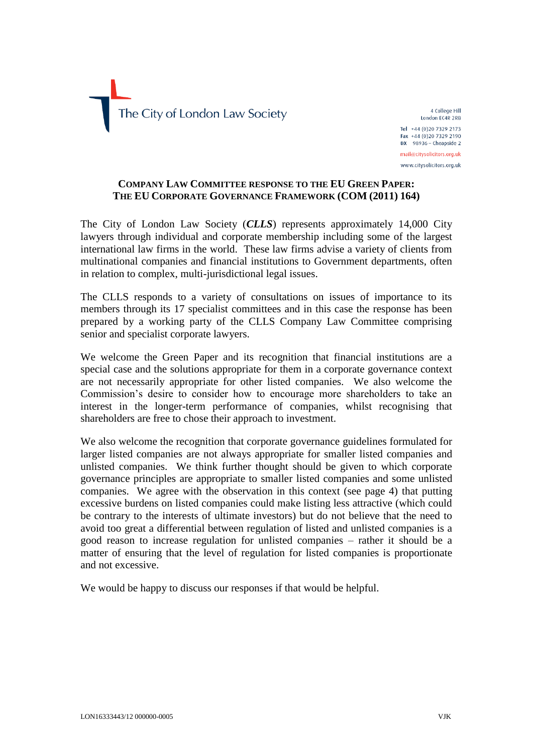

4 College Hill London EC4R 2RB Tel +44 (0)20 7329 2173 Fax +44 (0)20 7329 2190  $DX$  98936 - Cheapside 2 mail@citysolicitors.org.uk www.citysolicitors.org.uk

### **COMPANY LAW COMMITTEE RESPONSE TO THE EU GREEN PAPER: THE EU CORPORATE GOVERNANCE FRAMEWORK (COM (2011) 164)**

The City of London Law Society (*CLLS*) represents approximately 14,000 City lawyers through individual and corporate membership including some of the largest international law firms in the world. These law firms advise a variety of clients from multinational companies and financial institutions to Government departments, often in relation to complex, multi-jurisdictional legal issues.

The CLLS responds to a variety of consultations on issues of importance to its members through its 17 specialist committees and in this case the response has been prepared by a working party of the CLLS Company Law Committee comprising senior and specialist corporate lawyers.

We welcome the Green Paper and its recognition that financial institutions are a special case and the solutions appropriate for them in a corporate governance context are not necessarily appropriate for other listed companies. We also welcome the Commission's desire to consider how to encourage more shareholders to take an interest in the longer-term performance of companies, whilst recognising that shareholders are free to chose their approach to investment.

We also welcome the recognition that corporate governance guidelines formulated for larger listed companies are not always appropriate for smaller listed companies and unlisted companies. We think further thought should be given to which corporate governance principles are appropriate to smaller listed companies and some unlisted companies. We agree with the observation in this context (see page 4) that putting excessive burdens on listed companies could make listing less attractive (which could be contrary to the interests of ultimate investors) but do not believe that the need to avoid too great a differential between regulation of listed and unlisted companies is a good reason to increase regulation for unlisted companies – rather it should be a matter of ensuring that the level of regulation for listed companies is proportionate and not excessive.

We would be happy to discuss our responses if that would be helpful.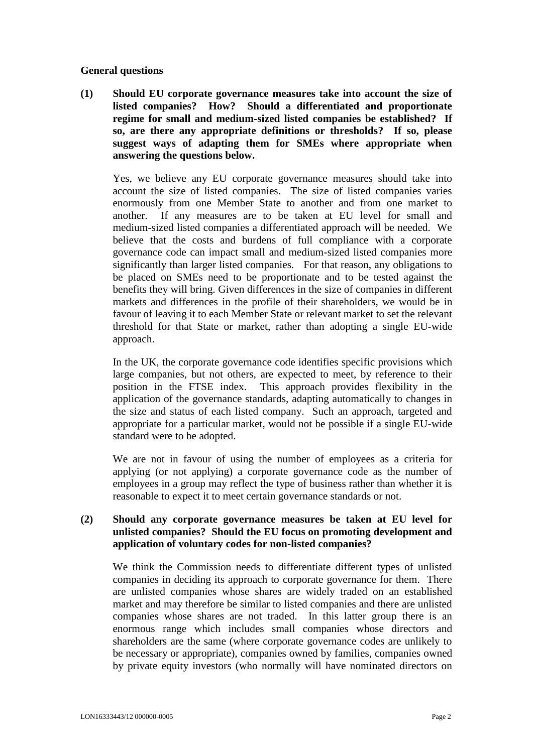#### **General questions**

**(1) Should EU corporate governance measures take into account the size of listed companies? How? Should a differentiated and proportionate regime for small and medium-sized listed companies be established? If so, are there any appropriate definitions or thresholds? If so, please suggest ways of adapting them for SMEs where appropriate when answering the questions below.**

Yes, we believe any EU corporate governance measures should take into account the size of listed companies. The size of listed companies varies enormously from one Member State to another and from one market to another. If any measures are to be taken at EU level for small and medium-sized listed companies a differentiated approach will be needed. We believe that the costs and burdens of full compliance with a corporate governance code can impact small and medium-sized listed companies more significantly than larger listed companies. For that reason, any obligations to be placed on SMEs need to be proportionate and to be tested against the benefits they will bring. Given differences in the size of companies in different markets and differences in the profile of their shareholders, we would be in favour of leaving it to each Member State or relevant market to set the relevant threshold for that State or market, rather than adopting a single EU-wide approach.

In the UK, the corporate governance code identifies specific provisions which large companies, but not others, are expected to meet, by reference to their position in the FTSE index. This approach provides flexibility in the application of the governance standards, adapting automatically to changes in the size and status of each listed company. Such an approach, targeted and appropriate for a particular market, would not be possible if a single EU-wide standard were to be adopted.

We are not in favour of using the number of employees as a criteria for applying (or not applying) a corporate governance code as the number of employees in a group may reflect the type of business rather than whether it is reasonable to expect it to meet certain governance standards or not.

### **(2) Should any corporate governance measures be taken at EU level for unlisted companies? Should the EU focus on promoting development and application of voluntary codes for non-listed companies?**

We think the Commission needs to differentiate different types of unlisted companies in deciding its approach to corporate governance for them. There are unlisted companies whose shares are widely traded on an established market and may therefore be similar to listed companies and there are unlisted companies whose shares are not traded. In this latter group there is an enormous range which includes small companies whose directors and shareholders are the same (where corporate governance codes are unlikely to be necessary or appropriate), companies owned by families, companies owned by private equity investors (who normally will have nominated directors on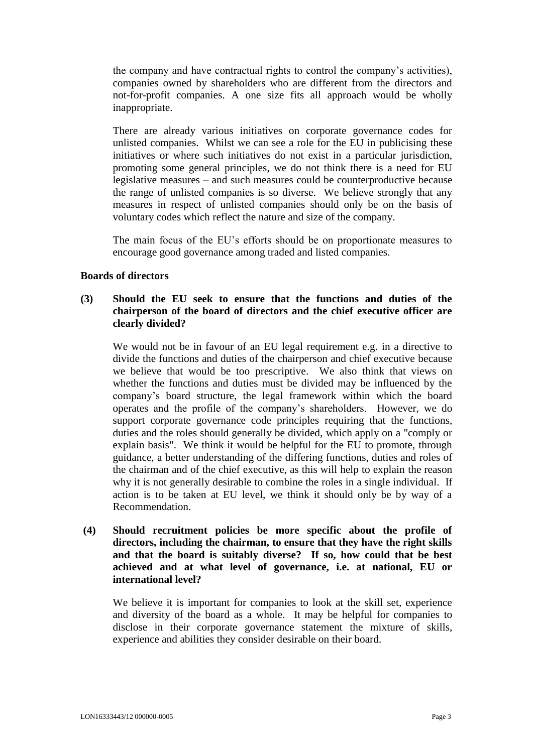the company and have contractual rights to control the company's activities), companies owned by shareholders who are different from the directors and not-for-profit companies. A one size fits all approach would be wholly inappropriate.

There are already various initiatives on corporate governance codes for unlisted companies. Whilst we can see a role for the EU in publicising these initiatives or where such initiatives do not exist in a particular jurisdiction, promoting some general principles, we do not think there is a need for EU legislative measures – and such measures could be counterproductive because the range of unlisted companies is so diverse. We believe strongly that any measures in respect of unlisted companies should only be on the basis of voluntary codes which reflect the nature and size of the company.

The main focus of the EU's efforts should be on proportionate measures to encourage good governance among traded and listed companies.

### **Boards of directors**

### **(3) Should the EU seek to ensure that the functions and duties of the chairperson of the board of directors and the chief executive officer are clearly divided?**

We would not be in favour of an EU legal requirement e.g. in a directive to divide the functions and duties of the chairperson and chief executive because we believe that would be too prescriptive. We also think that views on whether the functions and duties must be divided may be influenced by the company's board structure, the legal framework within which the board operates and the profile of the company's shareholders. However, we do support corporate governance code principles requiring that the functions, duties and the roles should generally be divided, which apply on a "comply or explain basis". We think it would be helpful for the EU to promote, through guidance, a better understanding of the differing functions, duties and roles of the chairman and of the chief executive, as this will help to explain the reason why it is not generally desirable to combine the roles in a single individual. If action is to be taken at EU level, we think it should only be by way of a Recommendation.

# **(4) Should recruitment policies be more specific about the profile of directors, including the chairman, to ensure that they have the right skills and that the board is suitably diverse? If so, how could that be best achieved and at what level of governance, i.e. at national, EU or international level?**

We believe it is important for companies to look at the skill set, experience and diversity of the board as a whole. It may be helpful for companies to disclose in their corporate governance statement the mixture of skills, experience and abilities they consider desirable on their board.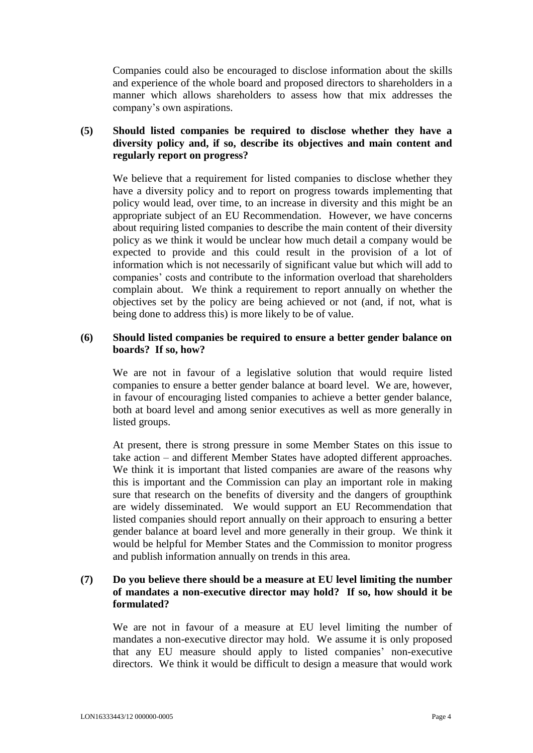Companies could also be encouraged to disclose information about the skills and experience of the whole board and proposed directors to shareholders in a manner which allows shareholders to assess how that mix addresses the company's own aspirations.

# **(5) Should listed companies be required to disclose whether they have a diversity policy and, if so, describe its objectives and main content and regularly report on progress?**

We believe that a requirement for listed companies to disclose whether they have a diversity policy and to report on progress towards implementing that policy would lead, over time, to an increase in diversity and this might be an appropriate subject of an EU Recommendation. However, we have concerns about requiring listed companies to describe the main content of their diversity policy as we think it would be unclear how much detail a company would be expected to provide and this could result in the provision of a lot of information which is not necessarily of significant value but which will add to companies' costs and contribute to the information overload that shareholders complain about. We think a requirement to report annually on whether the objectives set by the policy are being achieved or not (and, if not, what is being done to address this) is more likely to be of value.

### **(6) Should listed companies be required to ensure a better gender balance on boards? If so, how?**

We are not in favour of a legislative solution that would require listed companies to ensure a better gender balance at board level. We are, however, in favour of encouraging listed companies to achieve a better gender balance, both at board level and among senior executives as well as more generally in listed groups.

At present, there is strong pressure in some Member States on this issue to take action – and different Member States have adopted different approaches. We think it is important that listed companies are aware of the reasons why this is important and the Commission can play an important role in making sure that research on the benefits of diversity and the dangers of groupthink are widely disseminated. We would support an EU Recommendation that listed companies should report annually on their approach to ensuring a better gender balance at board level and more generally in their group. We think it would be helpful for Member States and the Commission to monitor progress and publish information annually on trends in this area.

### **(7) Do you believe there should be a measure at EU level limiting the number of mandates a non-executive director may hold? If so, how should it be formulated?**

We are not in favour of a measure at EU level limiting the number of mandates a non-executive director may hold. We assume it is only proposed that any EU measure should apply to listed companies' non-executive directors. We think it would be difficult to design a measure that would work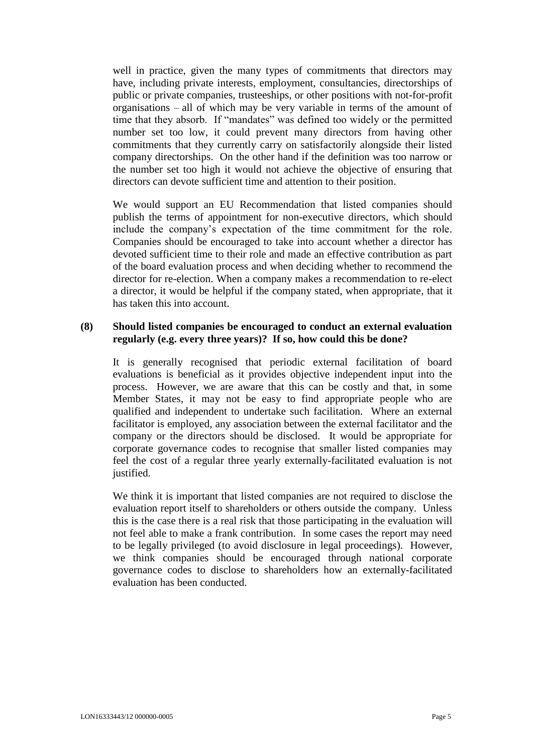well in practice, given the many types of commitments that directors may have, including private interests, employment, consultancies, directorships of public or private companies, trusteeships, or other positions with not-for-profit organisations – all of which may be very variable in terms of the amount of time that they absorb. If "mandates" was defined too widely or the permitted number set too low, it could prevent many directors from having other commitments that they currently carry on satisfactorily alongside their listed company directorships. On the other hand if the definition was too narrow or the number set too high it would not achieve the objective of ensuring that directors can devote sufficient time and attention to their position.

We would support an EU Recommendation that listed companies should publish the terms of appointment for non-executive directors, which should include the company's expectation of the time commitment for the role. Companies should be encouraged to take into account whether a director has devoted sufficient time to their role and made an effective contribution as part of the board evaluation process and when deciding whether to recommend the director for re-election. When a company makes a recommendation to re-elect a director, it would be helpful if the company stated, when appropriate, that it has taken this into account.

#### **(8) Should listed companies be encouraged to conduct an external evaluation regularly (e.g. every three years)? If so, how could this be done?**

It is generally recognised that periodic external facilitation of board evaluations is beneficial as it provides objective independent input into the process. However, we are aware that this can be costly and that, in some Member States, it may not be easy to find appropriate people who are qualified and independent to undertake such facilitation. Where an external facilitator is employed, any association between the external facilitator and the company or the directors should be disclosed. It would be appropriate for corporate governance codes to recognise that smaller listed companies may feel the cost of a regular three yearly externally-facilitated evaluation is not justified.

We think it is important that listed companies are not required to disclose the evaluation report itself to shareholders or others outside the company. Unless this is the case there is a real risk that those participating in the evaluation will not feel able to make a frank contribution. In some cases the report may need to be legally privileged (to avoid disclosure in legal proceedings). However, we think companies should be encouraged through national corporate governance codes to disclose to shareholders how an externally-facilitated evaluation has been conducted.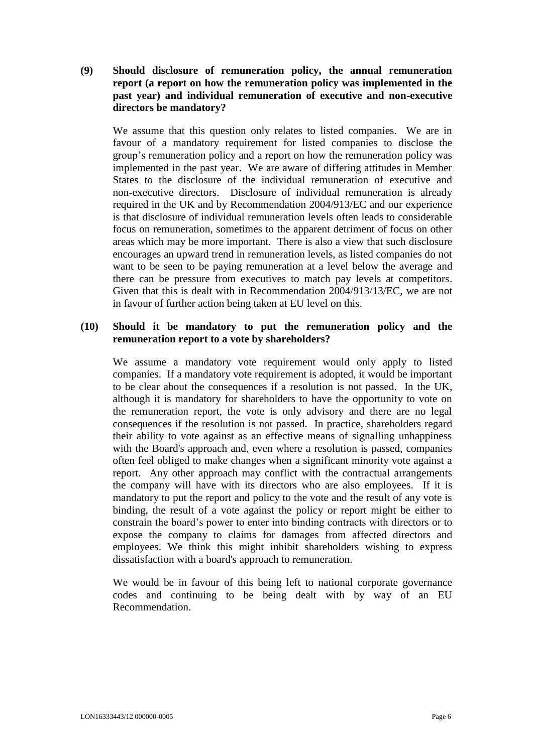**(9) Should disclosure of remuneration policy, the annual remuneration report (a report on how the remuneration policy was implemented in the past year) and individual remuneration of executive and non-executive directors be mandatory?**

We assume that this question only relates to listed companies. We are in favour of a mandatory requirement for listed companies to disclose the group's remuneration policy and a report on how the remuneration policy was implemented in the past year. We are aware of differing attitudes in Member States to the disclosure of the individual remuneration of executive and non-executive directors. Disclosure of individual remuneration is already required in the UK and by Recommendation 2004/913/EC and our experience is that disclosure of individual remuneration levels often leads to considerable focus on remuneration, sometimes to the apparent detriment of focus on other areas which may be more important. There is also a view that such disclosure encourages an upward trend in remuneration levels, as listed companies do not want to be seen to be paying remuneration at a level below the average and there can be pressure from executives to match pay levels at competitors. Given that this is dealt with in Recommendation 2004/913/13/EC, we are not in favour of further action being taken at EU level on this.

#### **(10) Should it be mandatory to put the remuneration policy and the remuneration report to a vote by shareholders?**

We assume a mandatory vote requirement would only apply to listed companies. If a mandatory vote requirement is adopted, it would be important to be clear about the consequences if a resolution is not passed. In the UK, although it is mandatory for shareholders to have the opportunity to vote on the remuneration report, the vote is only advisory and there are no legal consequences if the resolution is not passed. In practice, shareholders regard their ability to vote against as an effective means of signalling unhappiness with the Board's approach and, even where a resolution is passed, companies often feel obliged to make changes when a significant minority vote against a report. Any other approach may conflict with the contractual arrangements the company will have with its directors who are also employees. If it is mandatory to put the report and policy to the vote and the result of any vote is binding, the result of a vote against the policy or report might be either to constrain the board's power to enter into binding contracts with directors or to expose the company to claims for damages from affected directors and employees. We think this might inhibit shareholders wishing to express dissatisfaction with a board's approach to remuneration.

We would be in favour of this being left to national corporate governance codes and continuing to be being dealt with by way of an EU Recommendation.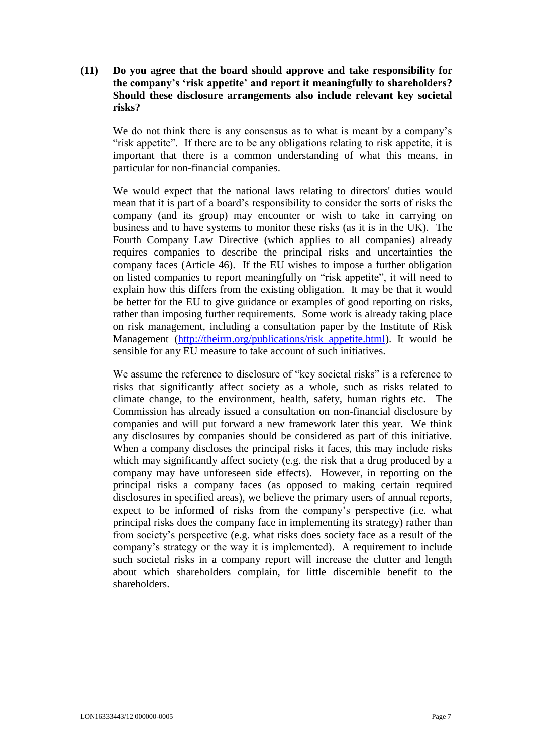# **(11) Do you agree that the board should approve and take responsibility for the company's 'risk appetite' and report it meaningfully to shareholders? Should these disclosure arrangements also include relevant key societal risks?**

We do not think there is any consensus as to what is meant by a company's "risk appetite". If there are to be any obligations relating to risk appetite, it is important that there is a common understanding of what this means, in particular for non-financial companies.

We would expect that the national laws relating to directors' duties would mean that it is part of a board's responsibility to consider the sorts of risks the company (and its group) may encounter or wish to take in carrying on business and to have systems to monitor these risks (as it is in the UK). The Fourth Company Law Directive (which applies to all companies) already requires companies to describe the principal risks and uncertainties the company faces (Article 46). If the EU wishes to impose a further obligation on listed companies to report meaningfully on "risk appetite", it will need to explain how this differs from the existing obligation. It may be that it would be better for the EU to give guidance or examples of good reporting on risks, rather than imposing further requirements. Some work is already taking place on risk management, including a consultation paper by the Institute of Risk Management (http://theirm.org/publications/risk appetite.html). It would be sensible for any EU measure to take account of such initiatives.

We assume the reference to disclosure of "key societal risks" is a reference to risks that significantly affect society as a whole, such as risks related to climate change, to the environment, health, safety, human rights etc. The Commission has already issued a consultation on non-financial disclosure by companies and will put forward a new framework later this year. We think any disclosures by companies should be considered as part of this initiative. When a company discloses the principal risks it faces, this may include risks which may significantly affect society (e.g. the risk that a drug produced by a company may have unforeseen side effects). However, in reporting on the principal risks a company faces (as opposed to making certain required disclosures in specified areas), we believe the primary users of annual reports, expect to be informed of risks from the company's perspective (i.e. what principal risks does the company face in implementing its strategy) rather than from society's perspective (e.g. what risks does society face as a result of the company's strategy or the way it is implemented). A requirement to include such societal risks in a company report will increase the clutter and length about which shareholders complain, for little discernible benefit to the shareholders.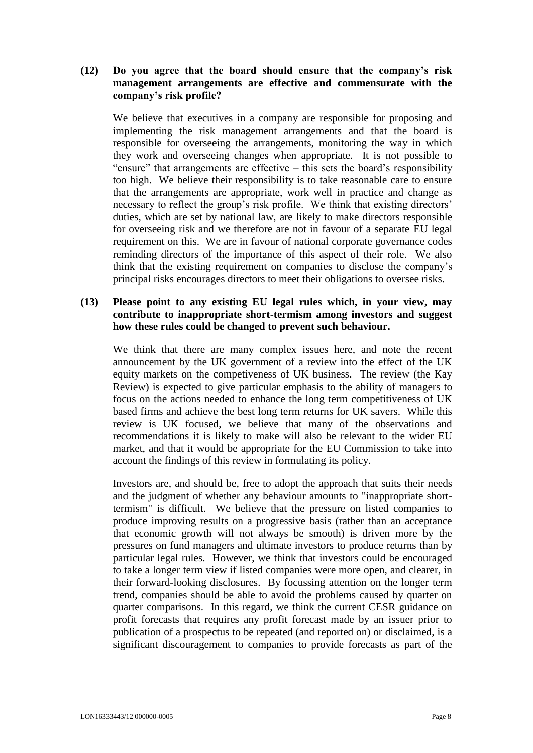# **(12) Do you agree that the board should ensure that the company's risk management arrangements are effective and commensurate with the company's risk profile?**

We believe that executives in a company are responsible for proposing and implementing the risk management arrangements and that the board is responsible for overseeing the arrangements, monitoring the way in which they work and overseeing changes when appropriate. It is not possible to "ensure" that arrangements are effective – this sets the board's responsibility too high. We believe their responsibility is to take reasonable care to ensure that the arrangements are appropriate, work well in practice and change as necessary to reflect the group's risk profile. We think that existing directors' duties, which are set by national law, are likely to make directors responsible for overseeing risk and we therefore are not in favour of a separate EU legal requirement on this. We are in favour of national corporate governance codes reminding directors of the importance of this aspect of their role. We also think that the existing requirement on companies to disclose the company's principal risks encourages directors to meet their obligations to oversee risks.

### **(13) Please point to any existing EU legal rules which, in your view, may contribute to inappropriate short-termism among investors and suggest how these rules could be changed to prevent such behaviour.**

We think that there are many complex issues here, and note the recent announcement by the UK government of a review into the effect of the UK equity markets on the competiveness of UK business. The review (the Kay Review) is expected to give particular emphasis to the ability of managers to focus on the actions needed to enhance the long term competitiveness of UK based firms and achieve the best long term returns for UK savers. While this review is UK focused, we believe that many of the observations and recommendations it is likely to make will also be relevant to the wider EU market, and that it would be appropriate for the EU Commission to take into account the findings of this review in formulating its policy.

Investors are, and should be, free to adopt the approach that suits their needs and the judgment of whether any behaviour amounts to "inappropriate shorttermism" is difficult. We believe that the pressure on listed companies to produce improving results on a progressive basis (rather than an acceptance that economic growth will not always be smooth) is driven more by the pressures on fund managers and ultimate investors to produce returns than by particular legal rules. However, we think that investors could be encouraged to take a longer term view if listed companies were more open, and clearer, in their forward-looking disclosures. By focussing attention on the longer term trend, companies should be able to avoid the problems caused by quarter on quarter comparisons. In this regard, we think the current CESR guidance on profit forecasts that requires any profit forecast made by an issuer prior to publication of a prospectus to be repeated (and reported on) or disclaimed, is a significant discouragement to companies to provide forecasts as part of the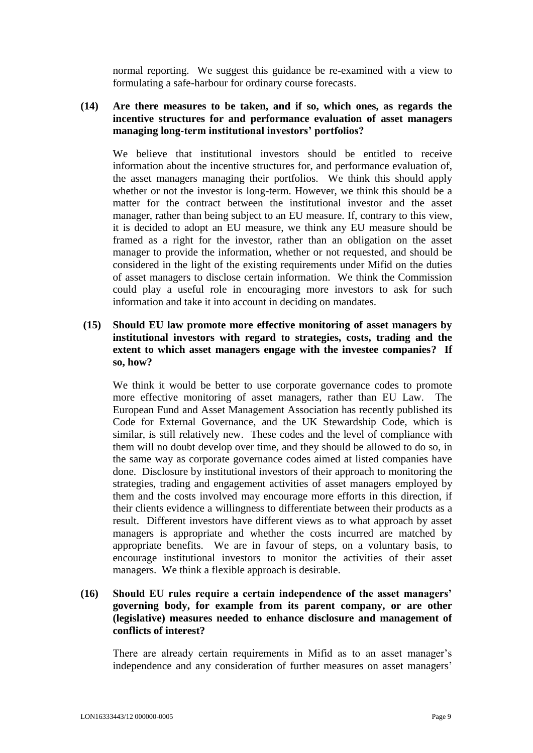normal reporting. We suggest this guidance be re-examined with a view to formulating a safe-harbour for ordinary course forecasts.

### **(14) Are there measures to be taken, and if so, which ones, as regards the incentive structures for and performance evaluation of asset managers managing long-term institutional investors' portfolios?**

We believe that institutional investors should be entitled to receive information about the incentive structures for, and performance evaluation of, the asset managers managing their portfolios. We think this should apply whether or not the investor is long-term. However, we think this should be a matter for the contract between the institutional investor and the asset manager, rather than being subject to an EU measure. If, contrary to this view, it is decided to adopt an EU measure, we think any EU measure should be framed as a right for the investor, rather than an obligation on the asset manager to provide the information, whether or not requested, and should be considered in the light of the existing requirements under Mifid on the duties of asset managers to disclose certain information. We think the Commission could play a useful role in encouraging more investors to ask for such information and take it into account in deciding on mandates.

### **(15) Should EU law promote more effective monitoring of asset managers by institutional investors with regard to strategies, costs, trading and the extent to which asset managers engage with the investee companies? If so, how?**

We think it would be better to use corporate governance codes to promote more effective monitoring of asset managers, rather than EU Law. The European Fund and Asset Management Association has recently published its Code for External Governance, and the UK Stewardship Code, which is similar, is still relatively new. These codes and the level of compliance with them will no doubt develop over time, and they should be allowed to do so, in the same way as corporate governance codes aimed at listed companies have done. Disclosure by institutional investors of their approach to monitoring the strategies, trading and engagement activities of asset managers employed by them and the costs involved may encourage more efforts in this direction, if their clients evidence a willingness to differentiate between their products as a result. Different investors have different views as to what approach by asset managers is appropriate and whether the costs incurred are matched by appropriate benefits. We are in favour of steps, on a voluntary basis, to encourage institutional investors to monitor the activities of their asset managers. We think a flexible approach is desirable.

# **(16) Should EU rules require a certain independence of the asset managers' governing body, for example from its parent company, or are other (legislative) measures needed to enhance disclosure and management of conflicts of interest?**

There are already certain requirements in Mifid as to an asset manager's independence and any consideration of further measures on asset managers'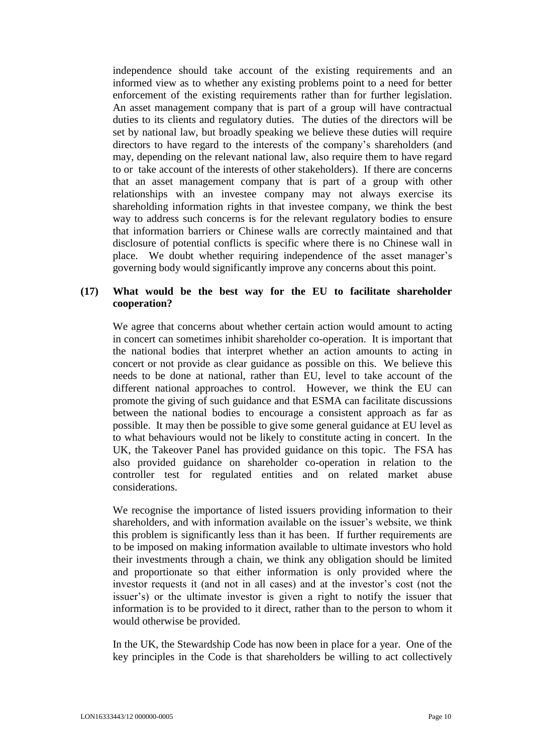independence should take account of the existing requirements and an informed view as to whether any existing problems point to a need for better enforcement of the existing requirements rather than for further legislation. An asset management company that is part of a group will have contractual duties to its clients and regulatory duties. The duties of the directors will be set by national law, but broadly speaking we believe these duties will require directors to have regard to the interests of the company's shareholders (and may, depending on the relevant national law, also require them to have regard to or take account of the interests of other stakeholders). If there are concerns that an asset management company that is part of a group with other relationships with an investee company may not always exercise its shareholding information rights in that investee company, we think the best way to address such concerns is for the relevant regulatory bodies to ensure that information barriers or Chinese walls are correctly maintained and that disclosure of potential conflicts is specific where there is no Chinese wall in place. We doubt whether requiring independence of the asset manager's governing body would significantly improve any concerns about this point.

### **(17) What would be the best way for the EU to facilitate shareholder cooperation?**

We agree that concerns about whether certain action would amount to acting in concert can sometimes inhibit shareholder co-operation. It is important that the national bodies that interpret whether an action amounts to acting in concert or not provide as clear guidance as possible on this. We believe this needs to be done at national, rather than EU, level to take account of the different national approaches to control. However, we think the EU can promote the giving of such guidance and that ESMA can facilitate discussions between the national bodies to encourage a consistent approach as far as possible. It may then be possible to give some general guidance at EU level as to what behaviours would not be likely to constitute acting in concert. In the UK, the Takeover Panel has provided guidance on this topic. The FSA has also provided guidance on shareholder co-operation in relation to the controller test for regulated entities and on related market abuse considerations.

We recognise the importance of listed issuers providing information to their shareholders, and with information available on the issuer's website, we think this problem is significantly less than it has been. If further requirements are to be imposed on making information available to ultimate investors who hold their investments through a chain, we think any obligation should be limited and proportionate so that either information is only provided where the investor requests it (and not in all cases) and at the investor's cost (not the issuer's) or the ultimate investor is given a right to notify the issuer that information is to be provided to it direct, rather than to the person to whom it would otherwise be provided.

In the UK, the Stewardship Code has now been in place for a year. One of the key principles in the Code is that shareholders be willing to act collectively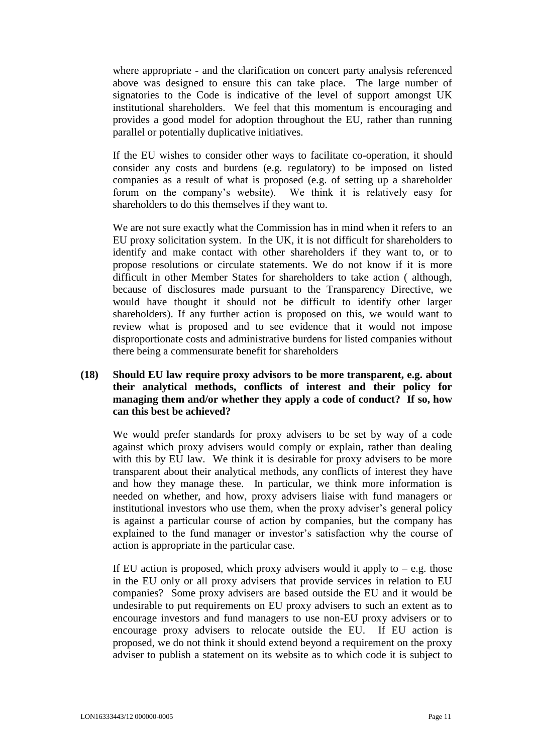where appropriate - and the clarification on concert party analysis referenced above was designed to ensure this can take place. The large number of signatories to the Code is indicative of the level of support amongst UK institutional shareholders. We feel that this momentum is encouraging and provides a good model for adoption throughout the EU, rather than running parallel or potentially duplicative initiatives.

If the EU wishes to consider other ways to facilitate co-operation, it should consider any costs and burdens (e.g. regulatory) to be imposed on listed companies as a result of what is proposed (e.g. of setting up a shareholder forum on the company's website). We think it is relatively easy for shareholders to do this themselves if they want to.

We are not sure exactly what the Commission has in mind when it refers to an EU proxy solicitation system. In the UK, it is not difficult for shareholders to identify and make contact with other shareholders if they want to, or to propose resolutions or circulate statements. We do not know if it is more difficult in other Member States for shareholders to take action ( although, because of disclosures made pursuant to the Transparency Directive, we would have thought it should not be difficult to identify other larger shareholders). If any further action is proposed on this, we would want to review what is proposed and to see evidence that it would not impose disproportionate costs and administrative burdens for listed companies without there being a commensurate benefit for shareholders

# **(18) Should EU law require proxy advisors to be more transparent, e.g. about their analytical methods, conflicts of interest and their policy for managing them and/or whether they apply a code of conduct? If so, how can this best be achieved?**

We would prefer standards for proxy advisers to be set by way of a code against which proxy advisers would comply or explain, rather than dealing with this by EU law. We think it is desirable for proxy advisers to be more transparent about their analytical methods, any conflicts of interest they have and how they manage these. In particular, we think more information is needed on whether, and how, proxy advisers liaise with fund managers or institutional investors who use them, when the proxy adviser's general policy is against a particular course of action by companies, but the company has explained to the fund manager or investor's satisfaction why the course of action is appropriate in the particular case.

If EU action is proposed, which proxy advisers would it apply to  $-e.g.$  those in the EU only or all proxy advisers that provide services in relation to EU companies? Some proxy advisers are based outside the EU and it would be undesirable to put requirements on EU proxy advisers to such an extent as to encourage investors and fund managers to use non-EU proxy advisers or to encourage proxy advisers to relocate outside the EU. If EU action is proposed, we do not think it should extend beyond a requirement on the proxy adviser to publish a statement on its website as to which code it is subject to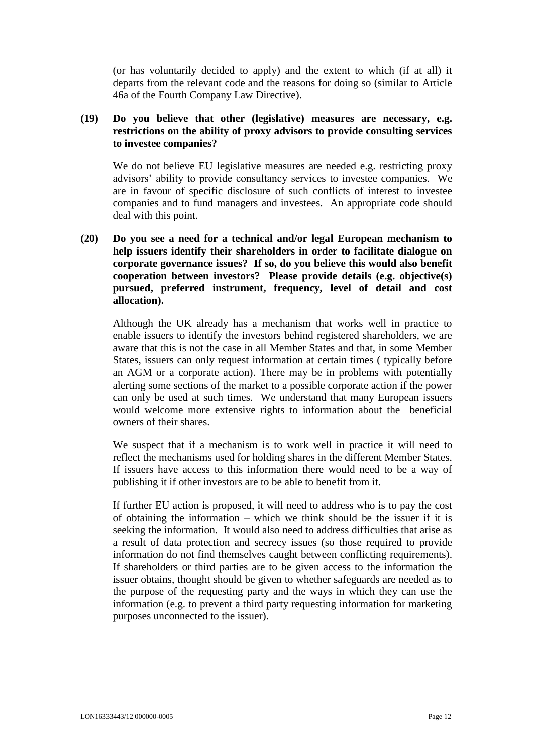(or has voluntarily decided to apply) and the extent to which (if at all) it departs from the relevant code and the reasons for doing so (similar to Article 46a of the Fourth Company Law Directive).

# **(19) Do you believe that other (legislative) measures are necessary, e.g. restrictions on the ability of proxy advisors to provide consulting services to investee companies?**

We do not believe EU legislative measures are needed e.g. restricting proxy advisors' ability to provide consultancy services to investee companies. We are in favour of specific disclosure of such conflicts of interest to investee companies and to fund managers and investees. An appropriate code should deal with this point.

**(20) Do you see a need for a technical and/or legal European mechanism to help issuers identify their shareholders in order to facilitate dialogue on corporate governance issues? If so, do you believe this would also benefit cooperation between investors? Please provide details (e.g. objective(s) pursued, preferred instrument, frequency, level of detail and cost allocation).**

Although the UK already has a mechanism that works well in practice to enable issuers to identify the investors behind registered shareholders, we are aware that this is not the case in all Member States and that, in some Member States, issuers can only request information at certain times ( typically before an AGM or a corporate action). There may be in problems with potentially alerting some sections of the market to a possible corporate action if the power can only be used at such times. We understand that many European issuers would welcome more extensive rights to information about the beneficial owners of their shares.

We suspect that if a mechanism is to work well in practice it will need to reflect the mechanisms used for holding shares in the different Member States. If issuers have access to this information there would need to be a way of publishing it if other investors are to be able to benefit from it.

If further EU action is proposed, it will need to address who is to pay the cost of obtaining the information – which we think should be the issuer if it is seeking the information. It would also need to address difficulties that arise as a result of data protection and secrecy issues (so those required to provide information do not find themselves caught between conflicting requirements). If shareholders or third parties are to be given access to the information the issuer obtains, thought should be given to whether safeguards are needed as to the purpose of the requesting party and the ways in which they can use the information (e.g. to prevent a third party requesting information for marketing purposes unconnected to the issuer).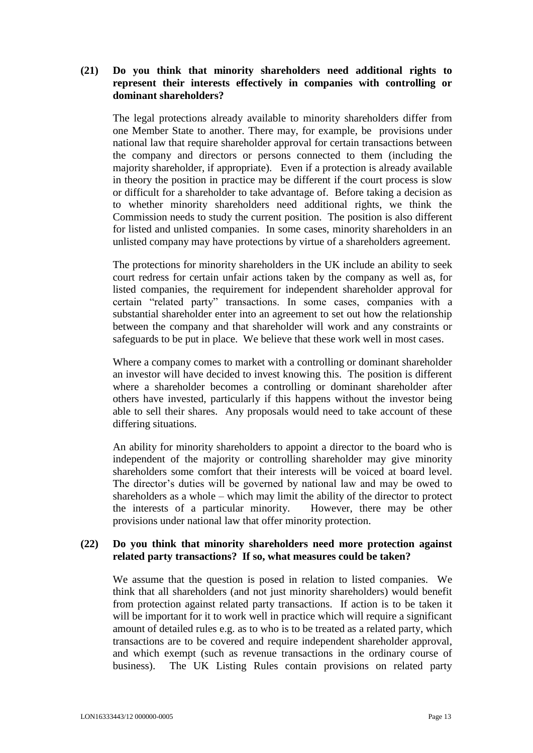# **(21) Do you think that minority shareholders need additional rights to represent their interests effectively in companies with controlling or dominant shareholders?**

The legal protections already available to minority shareholders differ from one Member State to another. There may, for example, be provisions under national law that require shareholder approval for certain transactions between the company and directors or persons connected to them (including the majority shareholder, if appropriate). Even if a protection is already available in theory the position in practice may be different if the court process is slow or difficult for a shareholder to take advantage of. Before taking a decision as to whether minority shareholders need additional rights, we think the Commission needs to study the current position. The position is also different for listed and unlisted companies. In some cases, minority shareholders in an unlisted company may have protections by virtue of a shareholders agreement.

The protections for minority shareholders in the UK include an ability to seek court redress for certain unfair actions taken by the company as well as, for listed companies, the requirement for independent shareholder approval for certain "related party" transactions. In some cases, companies with a substantial shareholder enter into an agreement to set out how the relationship between the company and that shareholder will work and any constraints or safeguards to be put in place. We believe that these work well in most cases.

Where a company comes to market with a controlling or dominant shareholder an investor will have decided to invest knowing this. The position is different where a shareholder becomes a controlling or dominant shareholder after others have invested, particularly if this happens without the investor being able to sell their shares. Any proposals would need to take account of these differing situations.

An ability for minority shareholders to appoint a director to the board who is independent of the majority or controlling shareholder may give minority shareholders some comfort that their interests will be voiced at board level. The director's duties will be governed by national law and may be owed to shareholders as a whole – which may limit the ability of the director to protect the interests of a particular minority. However, there may be other provisions under national law that offer minority protection.

### **(22) Do you think that minority shareholders need more protection against related party transactions? If so, what measures could be taken?**

We assume that the question is posed in relation to listed companies. We think that all shareholders (and not just minority shareholders) would benefit from protection against related party transactions. If action is to be taken it will be important for it to work well in practice which will require a significant amount of detailed rules e.g. as to who is to be treated as a related party, which transactions are to be covered and require independent shareholder approval, and which exempt (such as revenue transactions in the ordinary course of business). The UK Listing Rules contain provisions on related party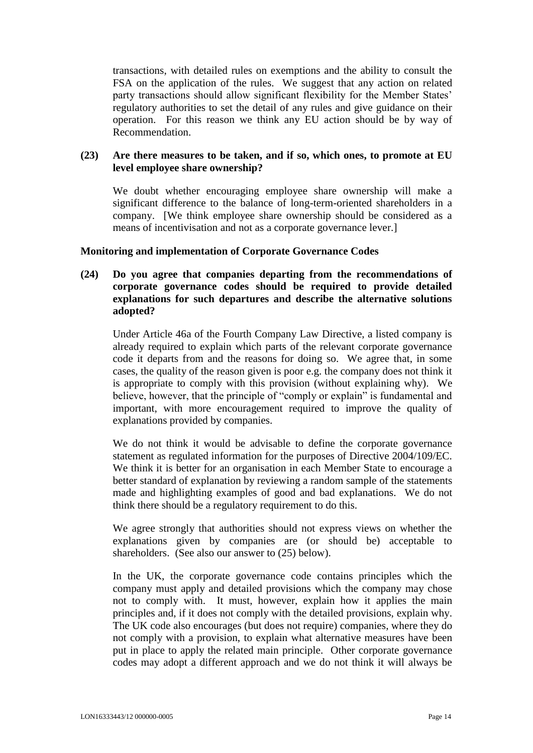transactions, with detailed rules on exemptions and the ability to consult the FSA on the application of the rules. We suggest that any action on related party transactions should allow significant flexibility for the Member States' regulatory authorities to set the detail of any rules and give guidance on their operation. For this reason we think any EU action should be by way of Recommendation.

### **(23) Are there measures to be taken, and if so, which ones, to promote at EU level employee share ownership?**

We doubt whether encouraging employee share ownership will make a significant difference to the balance of long-term-oriented shareholders in a company. [We think employee share ownership should be considered as a means of incentivisation and not as a corporate governance lever.]

### **Monitoring and implementation of Corporate Governance Codes**

**(24) Do you agree that companies departing from the recommendations of corporate governance codes should be required to provide detailed explanations for such departures and describe the alternative solutions adopted?**

Under Article 46a of the Fourth Company Law Directive, a listed company is already required to explain which parts of the relevant corporate governance code it departs from and the reasons for doing so. We agree that, in some cases, the quality of the reason given is poor e.g. the company does not think it is appropriate to comply with this provision (without explaining why). We believe, however, that the principle of "comply or explain" is fundamental and important, with more encouragement required to improve the quality of explanations provided by companies.

We do not think it would be advisable to define the corporate governance statement as regulated information for the purposes of Directive 2004/109/EC. We think it is better for an organisation in each Member State to encourage a better standard of explanation by reviewing a random sample of the statements made and highlighting examples of good and bad explanations. We do not think there should be a regulatory requirement to do this.

We agree strongly that authorities should not express views on whether the explanations given by companies are (or should be) acceptable to shareholders. (See also our answer to (25) below).

In the UK, the corporate governance code contains principles which the company must apply and detailed provisions which the company may chose not to comply with. It must, however, explain how it applies the main principles and, if it does not comply with the detailed provisions, explain why. The UK code also encourages (but does not require) companies, where they do not comply with a provision, to explain what alternative measures have been put in place to apply the related main principle. Other corporate governance codes may adopt a different approach and we do not think it will always be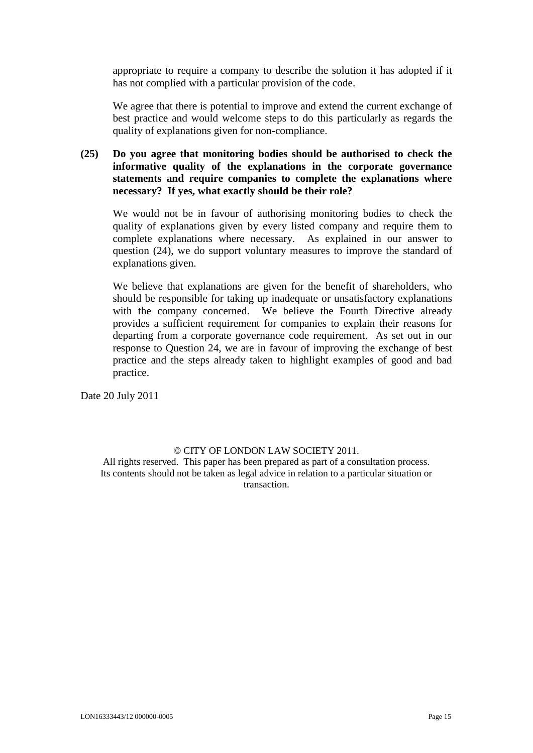appropriate to require a company to describe the solution it has adopted if it has not complied with a particular provision of the code.

We agree that there is potential to improve and extend the current exchange of best practice and would welcome steps to do this particularly as regards the quality of explanations given for non-compliance.

# **(25) Do you agree that monitoring bodies should be authorised to check the informative quality of the explanations in the corporate governance statements and require companies to complete the explanations where necessary? If yes, what exactly should be their role?**

We would not be in favour of authorising monitoring bodies to check the quality of explanations given by every listed company and require them to complete explanations where necessary. As explained in our answer to question (24), we do support voluntary measures to improve the standard of explanations given.

We believe that explanations are given for the benefit of shareholders, who should be responsible for taking up inadequate or unsatisfactory explanations with the company concerned. We believe the Fourth Directive already provides a sufficient requirement for companies to explain their reasons for departing from a corporate governance code requirement. As set out in our response to Question 24, we are in favour of improving the exchange of best practice and the steps already taken to highlight examples of good and bad practice.

Date 20 July 2011

#### © CITY OF LONDON LAW SOCIETY 2011.

All rights reserved. This paper has been prepared as part of a consultation process. Its contents should not be taken as legal advice in relation to a particular situation or transaction.